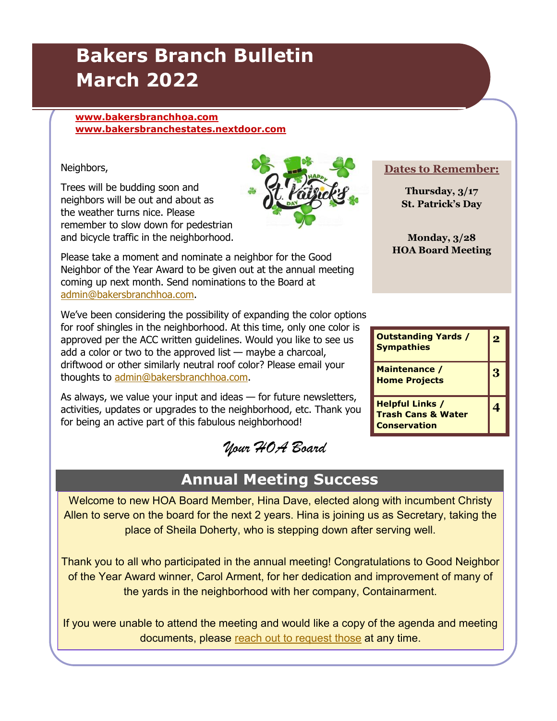# **Bakers Branch Bulletin March 2022**

#### **[www.bakersbranchhoa.com](http://www.bakersbranchhoa.com) [www.bakersbranchestates.nextdoor.com](http://www.bakersbranchestates.nextdoor.com)**

#### Neighbors,

Trees will be budding soon and neighbors will be out and about as the weather turns nice. Please remember to slow down for pedestrian and bicycle traffic in the neighborhood.



We've been considering the possibility of expanding the color options for roof shingles in the neighborhood. At this time, only one color is approved per the ACC written guidelines. Would you like to see us add a color or two to the approved list — maybe a charcoal, driftwood or other similarly neutral roof color? Please email your thoughts to [admin@bakersbranchhoa.com.](mailto:admin@bakersbranchhoa.com?subject=Roof%20Colors) 

As always, we value your input and ideas — for future newsletters, activities, updates or upgrades to the neighborhood, etc. Thank you for being an active part of this fabulous neighborhood!

*Your HOA Board*

### **Annual Meeting Success**

Welcome to new HOA Board Member, Hina Dave, elected along with incumbent Christy Allen to serve on the board for the next 2 years. Hina is joining us as Secretary, taking the place of Sheila Doherty, who is stepping down after serving well.

Thank you to all who participated in the annual meeting! Congratulations to Good Neighbor of the Year Award winner, Carol Arment, for her dedication and improvement of many of the yards in the neighborhood with her company, Containarment.

If you were unable to attend the meeting and would like a copy of the agenda and meeting documents, please [reach out to request those](mailto:president@bakersbranchhoa.com?subject=Annual%20Meeting%20Documents) at any time.

**Dates to Remember:**

**Thursday, 3/17 St. Patrick's Day**

**Monday, 3/28 HOA Board Meeting**

| <b>Outstanding Yards /</b><br><b>Sympathies</b>                                | $\bullet$ |
|--------------------------------------------------------------------------------|-----------|
| Maintenance /<br><b>Home Projects</b>                                          | 3         |
| <b>Helpful Links /</b><br><b>Trash Cans &amp; Water</b><br><b>Conservation</b> |           |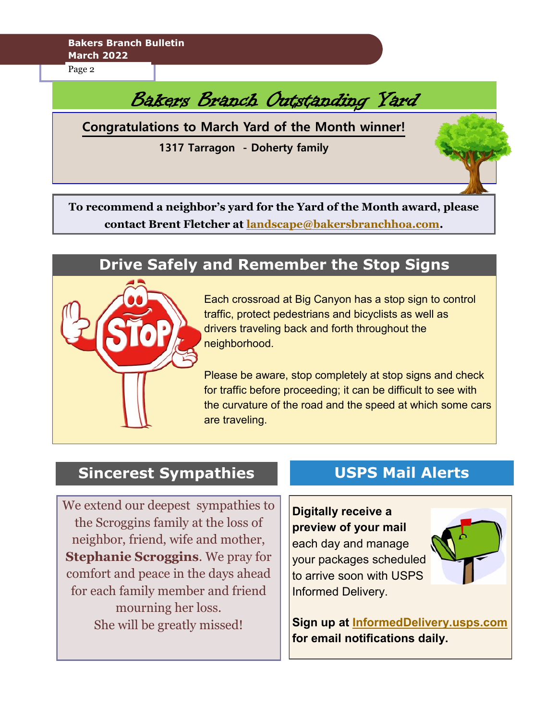**Bakers Branch Bulletin March 2022**

Page 2

# Bakers Branch Outstanding Yard

**Congratulations to March Yard of the Month winner!**

**1317 Tarragon - Doherty family** 

**To recommend a neighbor's yard for the Yard of the Month award, please contact Brent Fletcher at [landscape@bakersbranchhoa.com.](mailto:landscape@bakersbranchhoa.com?subject=yard%20of%20month%20suggestion)** 

### **Drive Safely and Remember the Stop Signs**



Each crossroad at Big Canyon has a stop sign to control traffic, protect pedestrians and bicyclists as well as drivers traveling back and forth throughout the neighborhood.

Please be aware, stop completely at stop signs and check for traffic before proceeding; it can be difficult to see with the curvature of the road and the speed at which some cars are traveling.

### **Sincerest Sympathies**

We extend our deepest sympathies to the Scroggins family at the loss of neighbor, friend, wife and mother, **Stephanie Scroggins**. We pray for comfort and peace in the days ahead for each family member and friend mourning her loss. She will be greatly missed!

### **USPS Mail Alerts**

#### **Digitally receive a preview of your mail**

each day and manage your packages scheduled to arrive soon with USPS Informed Delivery.



**Sign up at [InformedDelivery.usps.com](https://informeddelivery.usps.com/) for email notifications daily.**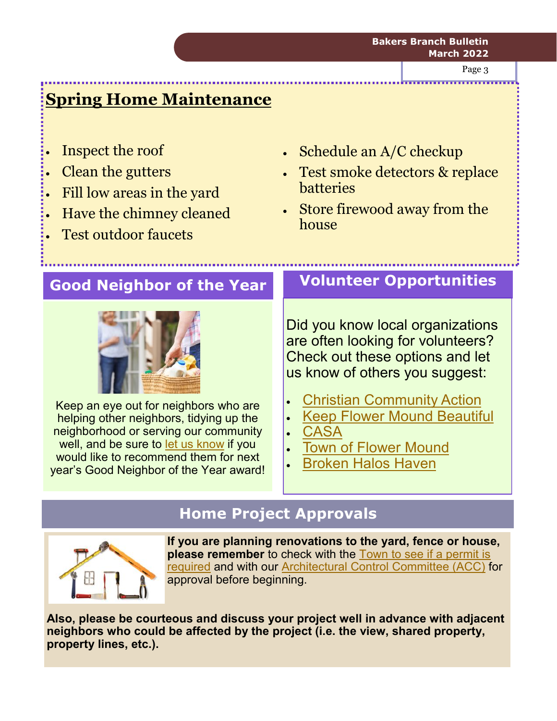Page 3

# **Spring Home Maintenance**

- Inspect the roof
- Clean the gutters
- Fill low areas in the yard
- Have the chimney cleaned
- Test outdoor faucets
- Schedule an A/C checkup
- Test smoke detectors & replace batteries
- Store firewood away from the house

### **Good Neighbor of the Year**



Keep an eye out for neighbors who are helping other neighbors, tidying up the neighborhood or serving our community well, and be sure to [let us know](mailto:admin@bakersbranchhoa.com?subject=Good%20Neighbor%20Award) if you would like to recommend them for next year's Good Neighbor of the Year award!

### **Volunteer Opportunities**

Did you know local organizations are often looking for volunteers? Check out these options and let us know of others you suggest:

- [Christian Community Action](https://ccahelps.org/get-involved/)
- [Keep Flower Mound Beautiful](https://kfmb.org/home)
- **[CASA](https://www.volunteermatch.org/search/opp4096.jsp)**
- **[Town of Flower Mound](https://www.flower-mound.com/748/Volunteer-Opportunities)**
- [Broken Halos Haven](https://www.facebook.com/BrokenHalosHaven)

## **Home Project Approvals**



**If you are planning renovations to the yard, fence or house, please remember** to check with the [Town to see if a permit is](http://www.flower-mound.com/documentcenter/view/539)  [required](http://www.flower-mound.com/documentcenter/view/539) and with our [Architectural Control Committee \(ACC\)](mailto:acc@bakersbranchhoa.com) for approval before beginning.

**Also, please be courteous and discuss your project well in advance with adjacent neighbors who could be affected by the project (i.e. the view, shared property, property lines, etc.).**